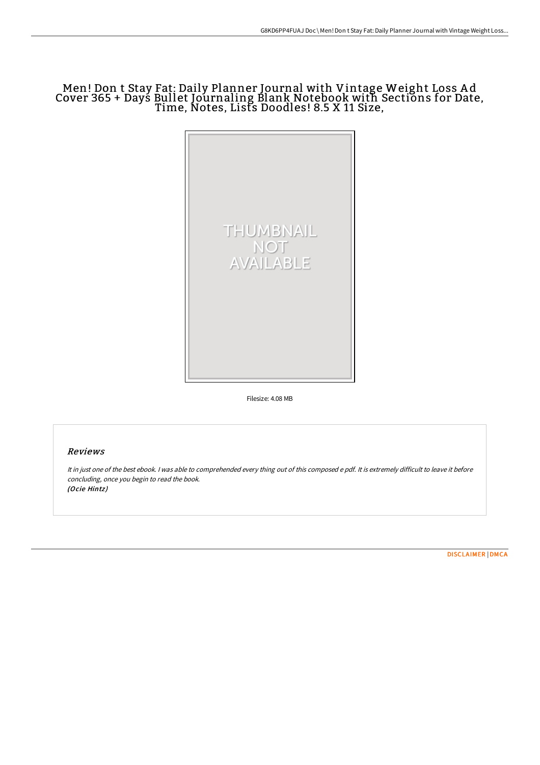# Men! Don t Stay Fat: Daily Planner Journal with Vintage Weight Loss A d Cover 365 + Days Bullet Journaling Blank Notebook with Sections for Date, Time, Notes, Lists Doodles! 8.5 X 11 Size,



Filesize: 4.08 MB

## Reviews

It in just one of the best ebook. <sup>I</sup> was able to comprehended every thing out of this composed <sup>e</sup> pdf. It is extremely difficult to leave it before concluding, once you begin to read the book. (Ocie Hintz)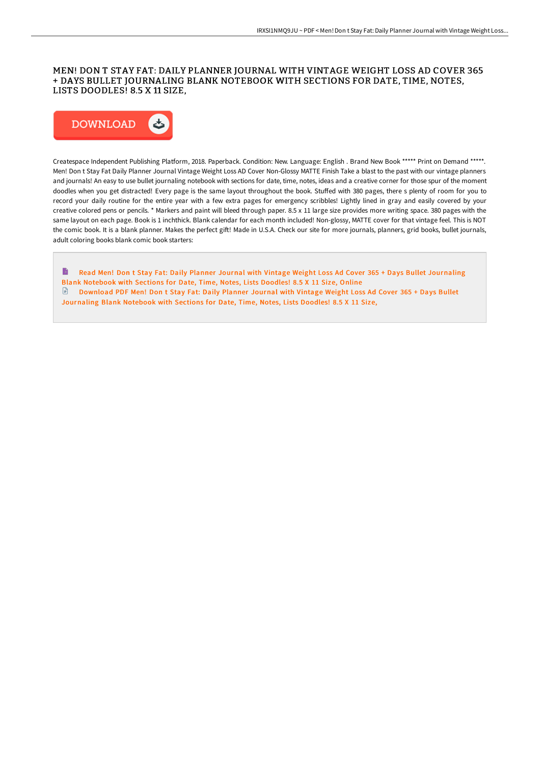## MEN! DON T STAY FAT: DAILY PLANNER JOURNAL WITH VINTAGE WEIGHT LOSS AD COVER 365 + DAYS BULLET JOURNALING BLANK NOTEBOOK WITH SECTIONS FOR DATE, TIME, NOTES, LISTS DOODLES! 8.5 X 11 SIZE,



Createspace Independent Publishing Platform, 2018. Paperback. Condition: New. Language: English . Brand New Book \*\*\*\*\* Print on Demand \*\*\*\*\*. Men! Don t Stay Fat Daily Planner Journal Vintage Weight Loss AD Cover Non-Glossy MATTE Finish Take a blast to the past with our vintage planners and journals! An easy to use bullet journaling notebook with sections for date, time, notes, ideas and a creative corner for those spur of the moment doodles when you get distracted! Every page is the same layout throughout the book. StuFed with 380 pages, there s plenty of room for you to record your daily routine for the entire year with a few extra pages for emergency scribbles! Lightly lined in gray and easily covered by your creative colored pens or pencils. \* Markers and paint will bleed through paper. 8.5 x 11 large size provides more writing space. 380 pages with the same layout on each page. Book is 1 inchthick. Blank calendar for each month included! Non-glossy, MATTE cover for that vintage feel. This is NOT the comic book. It is a blank planner. Makes the perfect gift! Made in U.S.A. Check our site for more journals, planners, grid books, bullet journals, adult coloring books blank comic book starters:

B Read Men! Don t Stay Fat: Daily Planner Journal with Vintage Weight Loss Ad Cover 365 + Days Bullet [Journaling](http://www.bookdirs.com/men-don-t-stay-fat-daily-planner-journal-with-vi.html) Blank Notebook with Sections for Date, Time, Notes, Lists Doodles! 8.5 X 11 Size, Online Download PDF Men! Don t Stay Fat: Daily Planner Journal with Vintage Weight Loss Ad Cover 365 + Days Bullet [Journaling](http://www.bookdirs.com/men-don-t-stay-fat-daily-planner-journal-with-vi.html) Blank Notebook with Sections for Date, Time, Notes, Lists Doodles! 8.5 X 11 Size,